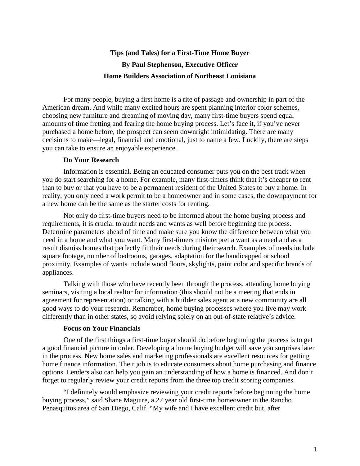# **Tips (and Tales) for a First-Time Home Buyer By Paul Stephenson, Executive Officer Home Builders Association of Northeast Louisiana**

For many people, buying a first home is a rite of passage and ownership in part of the American dream. And while many excited hours are spent planning interior color schemes, choosing new furniture and dreaming of moving day, many first-time buyers spend equal amounts of time fretting and fearing the home buying process. Let's face it, if you've never purchased a home before, the prospect can seem downright intimidating. There are many decisions to make—legal, financial and emotional, just to name a few. Luckily, there are steps you can take to ensure an enjoyable experience.

## **Do Your Research**

Information is essential. Being an educated consumer puts you on the best track when you do start searching for a home. For example, many first-timers think that it's cheaper to rent than to buy or that you have to be a permanent resident of the United States to buy a home. In reality, you only need a work permit to be a homeowner and in some cases, the downpayment for a new home can be the same as the starter costs for renting.

Not only do first-time buyers need to be informed about the home buying process and requirements, it is crucial to audit needs and wants as well before beginning the process. Determine parameters ahead of time and make sure you know the difference between what you need in a home and what you want. Many first-timers misinterpret a want as a need and as a result dismiss homes that perfectly fit their needs during their search. Examples of needs include square footage, number of bedrooms, garages, adaptation for the handicapped or school proximity. Examples of wants include wood floors, skylights, paint color and specific brands of appliances.

Talking with those who have recently been through the process, attending home buying seminars, visiting a local realtor for information (this should not be a meeting that ends in agreement for representation) or talking with a builder sales agent at a new community are all good ways to do your research. Remember, home buying processes where you live may work differently than in other states, so avoid relying solely on an out-of-state relative's advice.

### **Focus on Your Financials**

One of the first things a first-time buyer should do before beginning the process is to get a good financial picture in order. Developing a home buying budget will save you surprises later in the process. New home sales and marketing professionals are excellent resources for getting home finance information. Their job is to educate consumers about home purchasing and finance options. Lenders also can help you gain an understanding of how a home is financed. And don't forget to regularly review your credit reports from the three top credit scoring companies.

"I definitely would emphasize reviewing your credit reports before beginning the home buying process," said Shane Maguire, a 27 year old first-time homeowner in the Rancho Penasquitos area of San Diego, Calif. "My wife and I have excellent credit but, after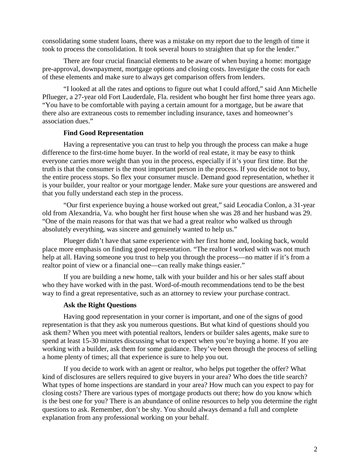consolidating some student loans, there was a mistake on my report due to the length of time it took to process the consolidation. It took several hours to straighten that up for the lender."

There are four crucial financial elements to be aware of when buying a home: mortgage pre-approval, downpayment, mortgage options and closing costs. Investigate the costs for each of these elements and make sure to always get comparison offers from lenders.

"I looked at all the rates and options to figure out what I could afford," said Ann Michelle Pflueger, a 27-year old Fort Lauderdale, Fla. resident who bought her first home three years ago. "You have to be comfortable with paying a certain amount for a mortgage, but be aware that there also are extraneous costs to remember including insurance, taxes and homeowner's association dues."

## **Find Good Representation**

Having a representative you can trust to help you through the process can make a huge difference to the first-time home buyer. In the world of real estate, it may be easy to think everyone carries more weight than you in the process, especially if it's your first time. But the truth is that the consumer is the most important person in the process. If you decide not to buy, the entire process stops. So flex your consumer muscle. Demand good representation, whether it is your builder, your realtor or your mortgage lender. Make sure your questions are answered and that you fully understand each step in the process.

"Our first experience buying a house worked out great," said Leocadia Conlon, a 31-year old from Alexandria, Va. who bought her first house when she was 28 and her husband was 29. "One of the main reasons for that was that we had a great realtor who walked us through absolutely everything, was sincere and genuinely wanted to help us."

Plueger didn't have that same experience with her first home and, looking back, would place more emphasis on finding good representation. "The realtor I worked with was not much help at all. Having someone you trust to help you through the process—no matter if it's from a realtor point of view or a financial one—can really make things easier."

If you are building a new home, talk with your builder and his or her sales staff about who they have worked with in the past. Word-of-mouth recommendations tend to be the best way to find a great representative, such as an attorney to review your purchase contract.

## **Ask the Right Questions**

Having good representation in your corner is important, and one of the signs of good representation is that they ask you numerous questions. But what kind of questions should you ask them? When you meet with potential realtors, lenders or builder sales agents, make sure to spend at least 15-30 minutes discussing what to expect when you're buying a home. If you are working with a builder, ask them for some guidance. They've been through the process of selling a home plenty of times; all that experience is sure to help you out.

If you decide to work with an agent or realtor, who helps put together the offer? What kind of disclosures are sellers required to give buyers in your area? Who does the title search? What types of home inspections are standard in your area? How much can you expect to pay for closing costs? There are various types of mortgage products out there; how do you know which is the best one for you? There is an abundance of online resources to help you determine the right questions to ask. Remember, don't be shy. You should always demand a full and complete explanation from any professional working on your behalf.